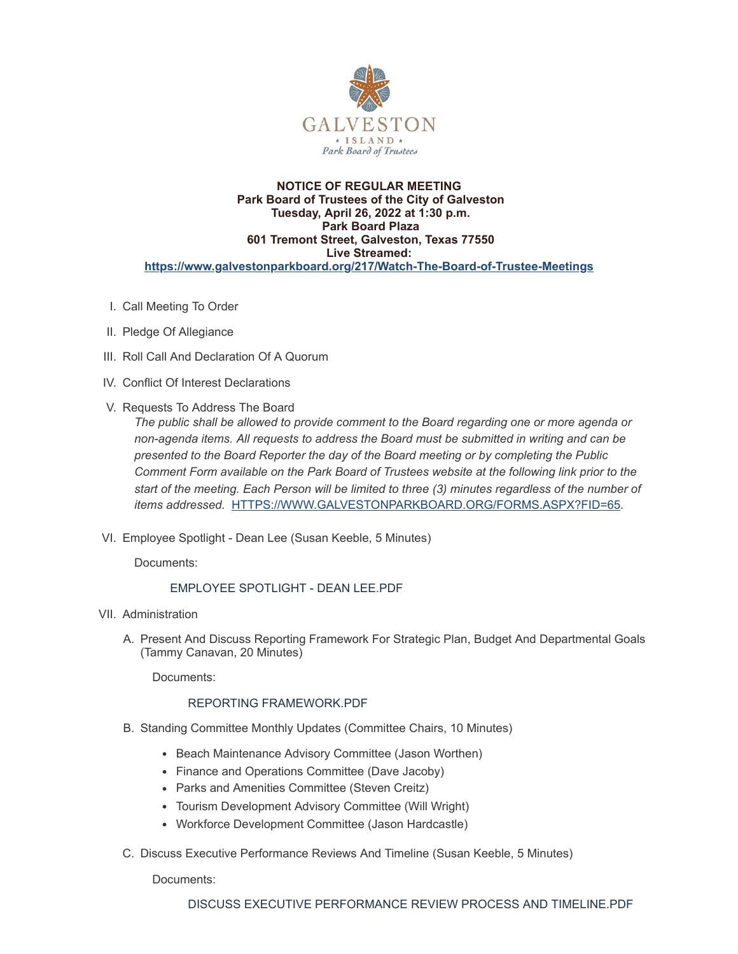

### **NOTICE OF REGULAR MEETING Park Board of Trustees of the City of Galveston Tuesday, April 26, 2022 at 1:30 p.m. Park Board Plaza 601 Tremont Street, Galveston, Texas 77550 Live Streamed: <https://www.galvestonparkboard.org/217/Watch-The-Board-of-Trustee-Meetings>**

- I. Call Meeting To Order
- II. Pledge Of Allegiance
- III. Roll Call And Declaration Of A Quorum
- IV. Conflict Of Interest Declarations
- V. Requests To Address The Board

*The public shall be allowed to provide comment to the Board regarding one or more agenda or non-agenda items. All requests to address the Board must be submitted in writing and can be presented to the Board Reporter the day of the Board meeting or by completing the Public Comment Form available on the Park Board of Trustees website at the following link prior to the start of the meeting. Each Person will be limited to three (3) minutes regardless of the number of items addressed.* [HTTPS://WWW.GALVESTONPARKBOARD.ORG/FORMS.ASPX?FID=65](https://www.galvestonparkboard.org/forms.aspx?FID=65)*.*

VI. Employee Spotlight - Dean Lee (Susan Keeble, 5 Minutes)

Documents:

# EMPLOYEE [SPOTLIGHT](https://www.galvestonparkboard.org/AgendaCenter/ViewFile/Item/7590?fileID=11536) - DEAN LEE.PDF

- VII. Administration
	- A. Present And Discuss Reporting Framework For Strategic Plan, Budget And Departmental Goals (Tammy Canavan, 20 Minutes)

Documents:

# REPORTING [FRAMEWORK.PDF](https://www.galvestonparkboard.org/AgendaCenter/ViewFile/Item/7615?fileID=11583)

- B. Standing Committee Monthly Updates (Committee Chairs, 10 Minutes)
	- Beach Maintenance Advisory Committee (Jason Worthen)
	- Finance and Operations Committee (Dave Jacoby)
	- Parks and Amenities Committee (Steven Creitz)
	- Tourism Development Advisory Committee (Will Wright)
	- Workforce Development Committee (Jason Hardcastle)
- C. Discuss Executive Performance Reviews And Timeline (Susan Keeble, 5 Minutes)

Documents: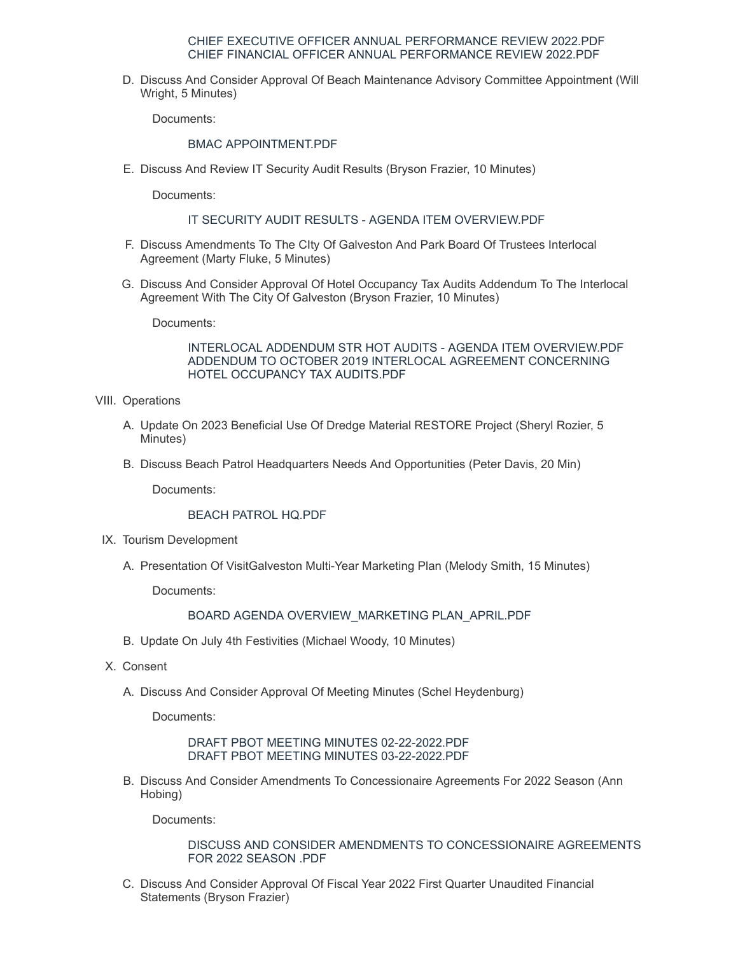#### CHIEF EXECUTIVE OFFICER ANNUAL [PERFORMANCE](https://www.galvestonparkboard.org/AgendaCenter/ViewFile/Item/7578?fileID=11528) REVIEW 2022.PDF CHIEF FINANCIAL OFFICER ANNUAL [PERFORMANCE](https://www.galvestonparkboard.org/AgendaCenter/ViewFile/Item/7578?fileID=11529) REVIEW 2022.PDF

D. Discuss And Consider Approval Of Beach Maintenance Advisory Committee Appointment (Will Wright, 5 Minutes)

Documents:

## BMAC [APPOINTMENT.PDF](https://www.galvestonparkboard.org/AgendaCenter/ViewFile/Item/7634?fileID=11582)

E. Discuss And Review IT Security Audit Results (Bryson Frazier, 10 Minutes)

Documents:

## IT SECURITY AUDIT RESULTS - AGENDA ITEM [OVERVIEW.PDF](https://www.galvestonparkboard.org/AgendaCenter/ViewFile/Item/7614?fileID=11577)

- F. Discuss Amendments To The CIty Of Galveston And Park Board Of Trustees Interlocal Agreement (Marty Fluke, 5 Minutes)
- G. Discuss And Consider Approval Of Hotel Occupancy Tax Audits Addendum To The Interlocal Agreement With The City Of Galveston (Bryson Frazier, 10 Minutes)

Documents:

INTERLOCAL ADDENDUM STR HOT AUDITS - AGENDA ITEM [OVERVIEW.PDF](https://www.galvestonparkboard.org/AgendaCenter/ViewFile/Item/7653?fileID=11587) ADDENDUM TO OCTOBER 2019 INTERLOCAL AGREEMENT [CONCERNING](https://www.galvestonparkboard.org/AgendaCenter/ViewFile/Item/7653?fileID=11588) HOTEL OCCUPANCY TAX AUDITS.PDF

- VIII. Operations
	- A. Update On 2023 Beneficial Use Of Dredge Material RESTORE Project (Sheryl Rozier, 5 Minutes)
	- B. Discuss Beach Patrol Headquarters Needs And Opportunities (Peter Davis, 20 Min)

Documents:

## BEACH [PATROL](https://www.galvestonparkboard.org/AgendaCenter/ViewFile/Item/7611?fileID=11586) HQ.PDF

- IX. Tourism Development
	- A. Presentation Of VisitGalveston Multi-Year Marketing Plan (Melody Smith, 15 Minutes)

Documents:

## BOARD AGENDA [OVERVIEW\\_MARKETING](https://www.galvestonparkboard.org/AgendaCenter/ViewFile/Item/7633?fileID=11581) PLAN\_APRIL.PDF

- B. Update On July 4th Festivities (Michael Woody, 10 Minutes)
- X. Consent
	- A. Discuss And Consider Approval Of Meeting Minutes (Schel Heydenburg)

Documents:

DRAFT PBOT MEETING MINUTES [02-22-2022.PDF](https://www.galvestonparkboard.org/AgendaCenter/ViewFile/Item/7632?fileID=11580) DRAFT PBOT MEETING MINUTES [03-22-2022.PDF](https://www.galvestonparkboard.org/AgendaCenter/ViewFile/Item/7632?fileID=11584)

B. Discuss And Consider Amendments To Concessionaire Agreements For 2022 Season (Ann Hobing)

Documents:

## DISCUSS AND CONSIDER AMENDMENTS TO [CONCESSIONAIRE](https://www.galvestonparkboard.org/AgendaCenter/ViewFile/Item/7613?fileID=11576) AGREEMENTS FOR 2022 SEASON .PDF

C. Discuss And Consider Approval Of Fiscal Year 2022 First Quarter Unaudited Financial Statements (Bryson Frazier)